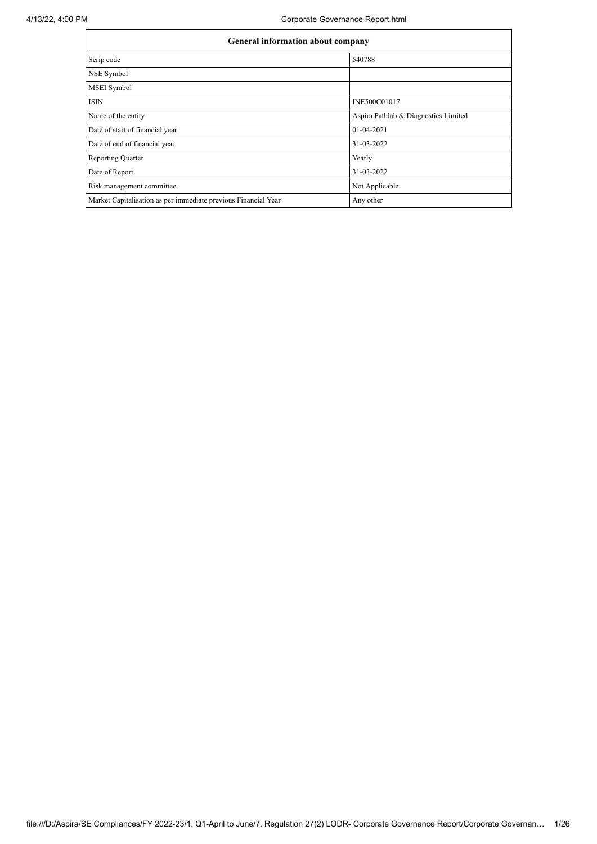| <b>General information about company</b>                       |                                      |  |  |  |  |  |
|----------------------------------------------------------------|--------------------------------------|--|--|--|--|--|
| Scrip code                                                     | 540788                               |  |  |  |  |  |
| NSE Symbol                                                     |                                      |  |  |  |  |  |
| <b>MSEI</b> Symbol                                             |                                      |  |  |  |  |  |
| <b>ISIN</b>                                                    | INE500C01017                         |  |  |  |  |  |
| Name of the entity                                             | Aspira Pathlab & Diagnostics Limited |  |  |  |  |  |
| Date of start of financial year                                | 01-04-2021                           |  |  |  |  |  |
| Date of end of financial year                                  | 31-03-2022                           |  |  |  |  |  |
| <b>Reporting Quarter</b>                                       | Yearly                               |  |  |  |  |  |
| Date of Report                                                 | 31-03-2022                           |  |  |  |  |  |
| Risk management committee                                      | Not Applicable                       |  |  |  |  |  |
| Market Capitalisation as per immediate previous Financial Year | Any other                            |  |  |  |  |  |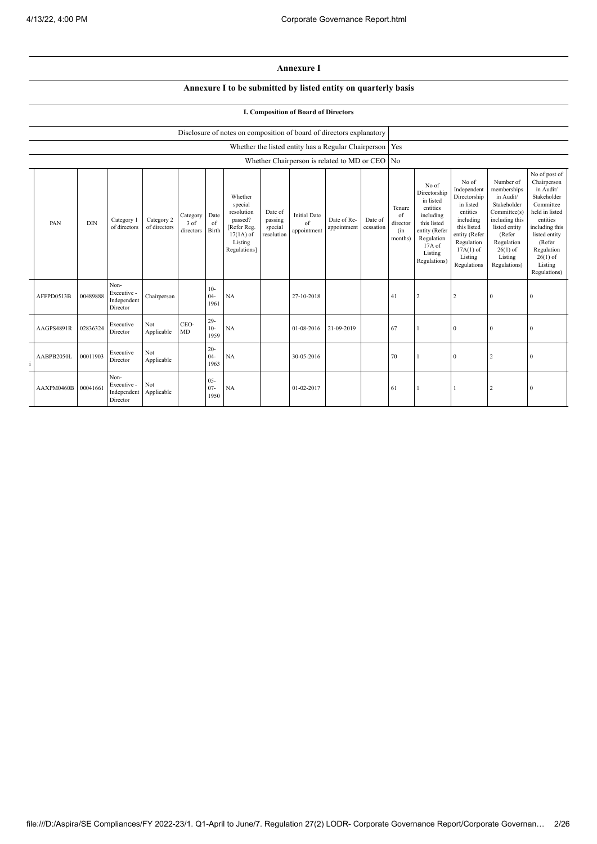## **Annexure I**

## **Annexure I to be submitted by listed entity on quarterly basis**

## **I. Composition of Board of Directors**

|            | Disclosure of notes on composition of board of directors explanatory |                                                |                            |                                    |                          |                                                                                                      |                                             |                                          |                                                           |                      |                                            |                                                                                                                                                |                                                                                                                                                                   |                                                                                                                                                                          |                                                                                                                                                                                                         |
|------------|----------------------------------------------------------------------|------------------------------------------------|----------------------------|------------------------------------|--------------------------|------------------------------------------------------------------------------------------------------|---------------------------------------------|------------------------------------------|-----------------------------------------------------------|----------------------|--------------------------------------------|------------------------------------------------------------------------------------------------------------------------------------------------|-------------------------------------------------------------------------------------------------------------------------------------------------------------------|--------------------------------------------------------------------------------------------------------------------------------------------------------------------------|---------------------------------------------------------------------------------------------------------------------------------------------------------------------------------------------------------|
|            |                                                                      |                                                |                            |                                    |                          |                                                                                                      |                                             |                                          | Whether the listed entity has a Regular Chairperson   Yes |                      |                                            |                                                                                                                                                |                                                                                                                                                                   |                                                                                                                                                                          |                                                                                                                                                                                                         |
|            |                                                                      |                                                |                            |                                    |                          |                                                                                                      |                                             |                                          | Whether Chairperson is related to MD or CEO No            |                      |                                            |                                                                                                                                                |                                                                                                                                                                   |                                                                                                                                                                          |                                                                                                                                                                                                         |
| PAN        | <b>DIN</b>                                                           | Category 1<br>of directors                     | Category 2<br>of directors | Category Date<br>3 of<br>directors | of<br>Birth              | Whether<br>special<br>resolution<br>passed?<br>[Refer Reg.<br>$17(1A)$ of<br>Listing<br>Regulations] | Date of<br>passing<br>special<br>resolution | <b>Initial Date</b><br>of<br>appointment | Date of Re-<br>appointment                                | Date of<br>cessation | Tenure<br>of<br>director<br>(in<br>months) | No of<br>Directorship<br>in listed<br>entities<br>including<br>this listed<br>entity (Refer<br>Regulation<br>17A of<br>Listing<br>Regulations) | No of<br>Independent<br>Directorship<br>in listed<br>entities<br>including<br>this listed<br>entity (Refer<br>Regulation<br>$17A(1)$ of<br>Listing<br>Regulations | Number of<br>memberships<br>in Audit/<br>Stakeholder<br>Committee(s)<br>including this<br>listed entity<br>(Refer<br>Regulation<br>$26(1)$ of<br>Listing<br>Regulations) | No of post of<br>Chairperson<br>in Audit/<br>Stakeholder<br>Committee<br>held in listed<br>entities<br>including this<br>listed entity<br>(Refer<br>Regulation<br>$26(1)$ of<br>Listing<br>Regulations) |
| AFFPD0513B | 00489888                                                             | Non-<br>Executive -<br>Independent<br>Director | Chairperson                |                                    | $10-$<br>$04 -$<br>1961  | NA                                                                                                   |                                             | 27-10-2018                               |                                                           |                      | 41                                         | $\overline{2}$                                                                                                                                 | $\overline{2}$                                                                                                                                                    | $\mathbf{0}$                                                                                                                                                             | $\mathbf{0}$                                                                                                                                                                                            |
| AAGPS4891R | 02836324                                                             | Executive<br>Director                          | Not<br>Applicable          | CEO-<br>MD                         | $29-$<br>$10-$<br>1959   | NA                                                                                                   |                                             | 01-08-2016                               | 21-09-2019                                                |                      | 67                                         |                                                                                                                                                | $\mathbf{0}$                                                                                                                                                      | 0                                                                                                                                                                        | $\bf{0}$                                                                                                                                                                                                |
| AABPB2050L | 00011903                                                             | Executive<br>Director                          | Not<br>Applicable          |                                    | $20 -$<br>$04 -$<br>1963 | NA                                                                                                   |                                             | 30-05-2016                               |                                                           |                      | 70                                         |                                                                                                                                                | $\overline{0}$                                                                                                                                                    | 2                                                                                                                                                                        | $\mathbf{0}$                                                                                                                                                                                            |
| AAXPM0460B | 00041661                                                             | Non-<br>Executive -<br>Independent<br>Director | Not<br>Applicable          |                                    | $05 -$<br>$07 -$<br>1950 | NA                                                                                                   |                                             | 01-02-2017                               |                                                           |                      | 61                                         |                                                                                                                                                |                                                                                                                                                                   | 2                                                                                                                                                                        | $\bf{0}$                                                                                                                                                                                                |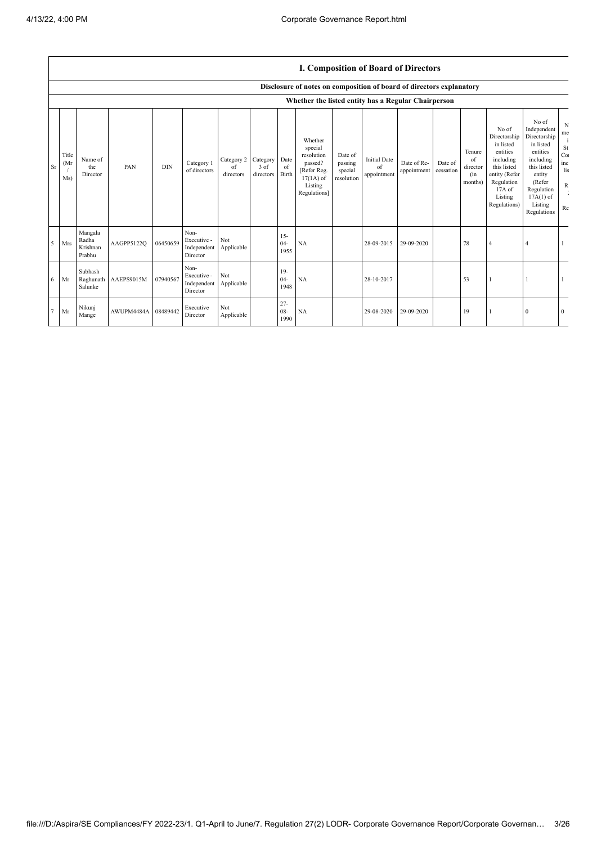$\overline{\phantom{a}}$ 

|        |                      |                                        |            |            |                                                |                               |                                 |                          |                                                                                                      |                                             | I. Composition of Board of Directors     |                            |                      |                                            |                                                                                                                                                |                                                                                                                                                                      |                                               |
|--------|----------------------|----------------------------------------|------------|------------|------------------------------------------------|-------------------------------|---------------------------------|--------------------------|------------------------------------------------------------------------------------------------------|---------------------------------------------|------------------------------------------|----------------------------|----------------------|--------------------------------------------|------------------------------------------------------------------------------------------------------------------------------------------------|----------------------------------------------------------------------------------------------------------------------------------------------------------------------|-----------------------------------------------|
|        |                      |                                        |            |            |                                                |                               |                                 |                          | Disclosure of notes on composition of board of directors explanatory                                 |                                             |                                          |                            |                      |                                            |                                                                                                                                                |                                                                                                                                                                      |                                               |
|        |                      |                                        |            |            |                                                |                               |                                 |                          | Whether the listed entity has a Regular Chairperson                                                  |                                             |                                          |                            |                      |                                            |                                                                                                                                                |                                                                                                                                                                      |                                               |
| Sr     | Title<br>(Mr)<br>Ms) | Name of<br>the<br>Director             | PAN        | <b>DIN</b> | Category 1<br>of directors                     | Category 2<br>of<br>directors | Category<br>$3$ of<br>directors | Date<br>of<br>Birth      | Whether<br>special<br>resolution<br>passed?<br>[Refer Reg.<br>$17(1A)$ of<br>Listing<br>Regulations] | Date of<br>passing<br>special<br>resolution | <b>Initial Date</b><br>of<br>appointment | Date of Re-<br>appointment | Date of<br>cessation | Tenure<br>of<br>director<br>(in<br>months) | No of<br>Directorship<br>in listed<br>entities<br>including<br>this listed<br>entity (Refer<br>Regulation<br>17A of<br>Listing<br>Regulations) | No of<br>Independent<br>Directorship<br>in listed<br>entities<br>including<br>this listed<br>entity<br>(Refer<br>Regulation<br>$17A(1)$ of<br>Listing<br>Regulations | N<br>me<br>St<br>Co:<br>inc<br>lis<br>R<br>Re |
| 5      | Mrs                  | Mangala<br>Radha<br>Krishnan<br>Prabhu | AAGPP5122Q | 06450659   | Non-<br>Executive -<br>Independent<br>Director | Not<br>Applicable             |                                 | $15 -$<br>$04-$<br>1955  | NA                                                                                                   |                                             | 28-09-2015                               | 29-09-2020                 |                      | 78                                         | 4                                                                                                                                              |                                                                                                                                                                      |                                               |
| 6      | Mr                   | Subhash<br>Raghunath<br>Salunke        | AAEPS9015M | 07940567   | Non-<br>Executive -<br>Independent<br>Director | Not<br>Applicable             |                                 | $19-$<br>$04-$<br>1948   | NA                                                                                                   |                                             | 28-10-2017                               |                            |                      | 53                                         |                                                                                                                                                |                                                                                                                                                                      |                                               |
| $\tau$ | Mr                   | Nikunj<br>Mange                        | AWUPM4484A | 08489442   | Executive<br>Director                          | Not<br>Applicable             |                                 | $27 -$<br>$08 -$<br>1990 | NA                                                                                                   |                                             | 29-08-2020                               | 29-09-2020                 |                      | 19                                         |                                                                                                                                                | $\Omega$                                                                                                                                                             | $\overline{0}$                                |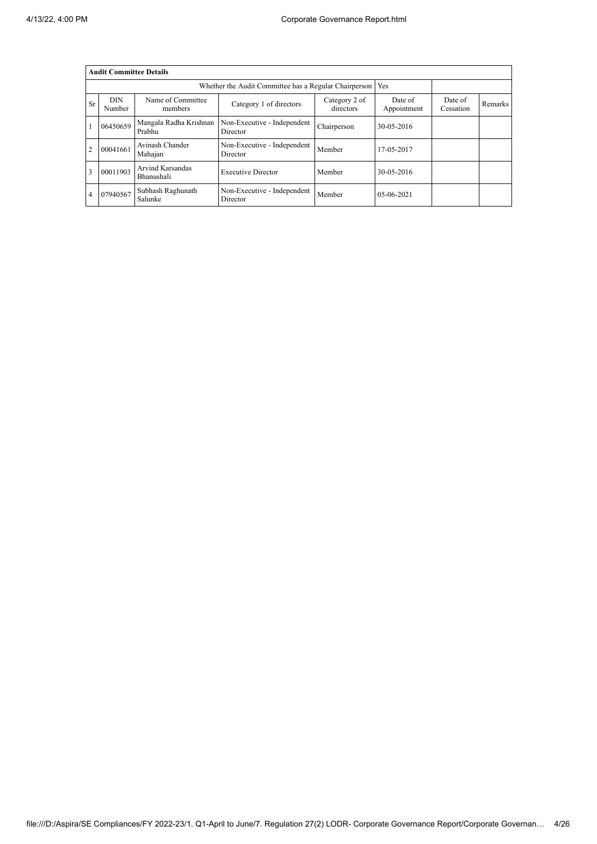|                | <b>Audit Committee Details</b> |                                  |                                                             |                            |                        |                      |         |  |  |  |
|----------------|--------------------------------|----------------------------------|-------------------------------------------------------------|----------------------------|------------------------|----------------------|---------|--|--|--|
|                |                                |                                  | Whether the Audit Committee has a Regular Chairperson   Yes |                            |                        |                      |         |  |  |  |
| Sr             | <b>DIN</b><br>Number           | Name of Committee<br>members     | Category 1 of directors                                     | Category 2 of<br>directors | Date of<br>Appointment | Date of<br>Cessation | Remarks |  |  |  |
|                | 06450659                       | Mangala Radha Krishnan<br>Prabhu | Non-Executive - Independent<br>Director                     | Chairperson                | 30-05-2016             |                      |         |  |  |  |
| $\overline{2}$ | 00041661                       | Avinash Chander<br>Mahajan       | Non-Executive - Independent<br>Director                     | Member                     | 17-05-2017             |                      |         |  |  |  |
| 3              | 00011903                       | Arvind Karsandas<br>Bhanushali   | <b>Executive Director</b>                                   | Member                     | 30-05-2016             |                      |         |  |  |  |
| 4              | 07940567                       | Subhash Raghunath<br>Salunke     | Non-Executive - Independent<br>Director                     | Member                     | 05-06-2021             |                      |         |  |  |  |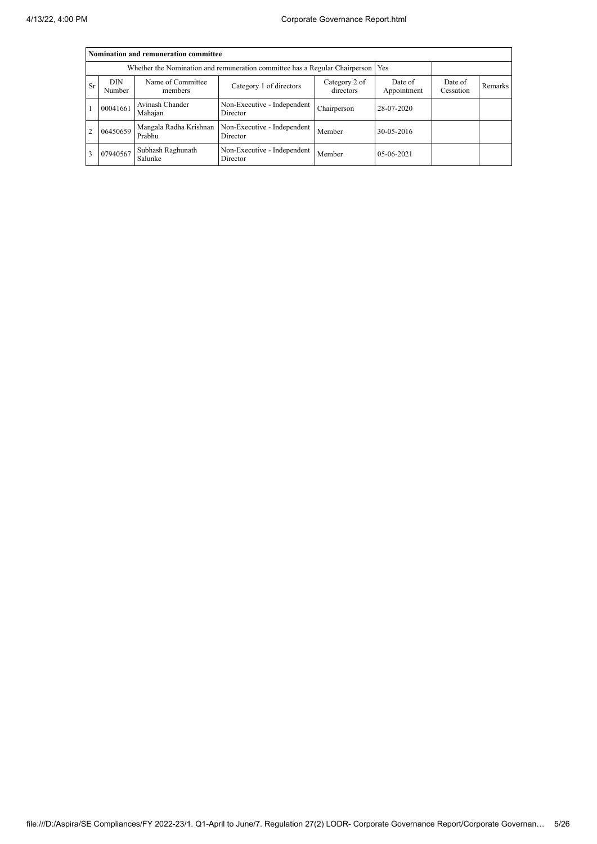|           | Nomination and remuneration committee |                                                                                   |                                         |                      |            |  |  |  |  |  |
|-----------|---------------------------------------|-----------------------------------------------------------------------------------|-----------------------------------------|----------------------|------------|--|--|--|--|--|
|           |                                       | Whether the Nomination and remuneration committee has a Regular Chairperson   Yes |                                         |                      |            |  |  |  |  |  |
| <b>Sr</b> | <b>DIN</b><br>Number                  | Name of Committee<br>members                                                      | Date of<br>Appointment                  | Date of<br>Cessation | Remarks    |  |  |  |  |  |
|           | 00041661                              | Avinash Chander<br>Mahajan                                                        | Non-Executive - Independent<br>Director | Chairperson          | 28-07-2020 |  |  |  |  |  |
| 2         | 06450659                              | Mangala Radha Krishnan<br>Prabhu                                                  | Non-Executive - Independent<br>Director | Member               | 30-05-2016 |  |  |  |  |  |
|           | 07940567                              | Subhash Raghunath<br>Salunke                                                      | Non-Executive - Independent<br>Director | Member               | 05-06-2021 |  |  |  |  |  |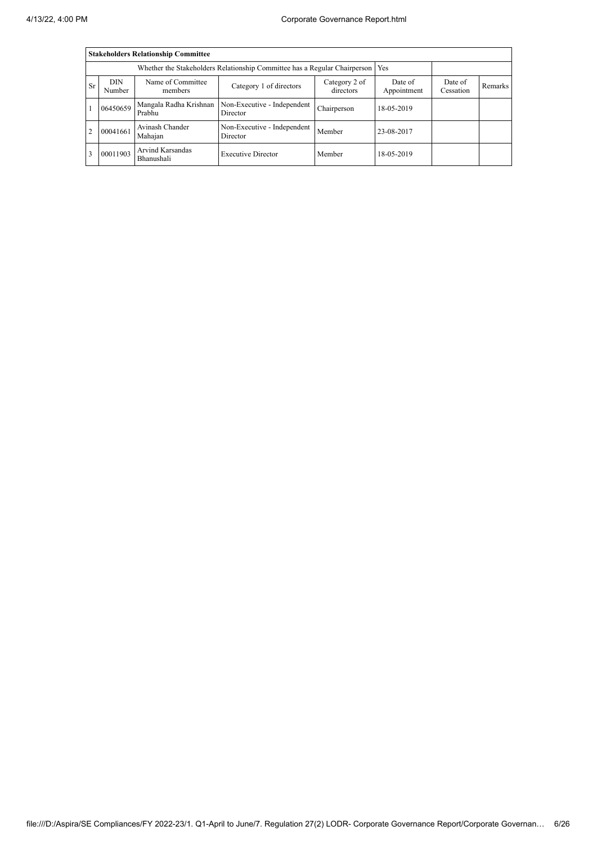|                | <b>Stakeholders Relationship Committee</b> |                                       |                                         |                            |                        |                      |         |  |  |  |
|----------------|--------------------------------------------|---------------------------------------|-----------------------------------------|----------------------------|------------------------|----------------------|---------|--|--|--|
|                |                                            |                                       |                                         |                            |                        |                      |         |  |  |  |
| <b>Sr</b>      | DIN.<br>Number                             | Name of Committee<br>members          | Category 1 of directors                 | Category 2 of<br>directors | Date of<br>Appointment | Date of<br>Cessation | Remarks |  |  |  |
|                | 06450659                                   | Mangala Radha Krishnan<br>Prabhu      | Non-Executive - Independent<br>Director | Chairperson                | 18-05-2019             |                      |         |  |  |  |
| $\overline{2}$ | 00041661                                   | Avinash Chander<br>Mahajan            | Non-Executive - Independent<br>Director | Member                     | 23-08-2017             |                      |         |  |  |  |
| 3              | 00011903                                   | <b>Arvind Karsandas</b><br>Bhanushali | <b>Executive Director</b>               | Member                     | 18-05-2019             |                      |         |  |  |  |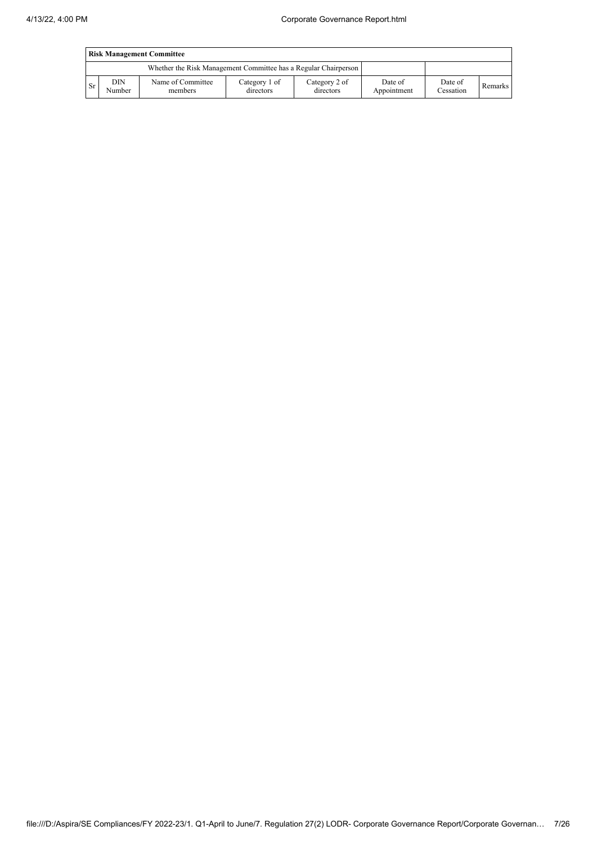|      | <b>Risk Management Committee</b> |                                                                 |                            |                            |                        |                      |         |  |  |
|------|----------------------------------|-----------------------------------------------------------------|----------------------------|----------------------------|------------------------|----------------------|---------|--|--|
|      |                                  | Whether the Risk Management Committee has a Regular Chairperson |                            |                            |                        |                      |         |  |  |
| l Sr | DIN<br>Number                    | Name of Committee<br>members                                    | Category 1 of<br>directors | Category 2 of<br>directors | Date of<br>Appointment | Date of<br>Cessation | Remarks |  |  |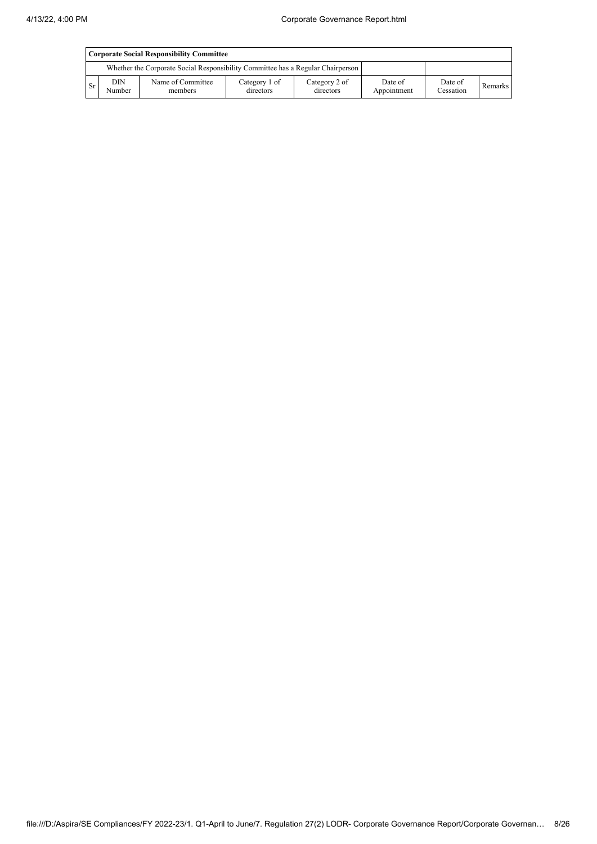|           | Corporate Social Responsibility Committee |                                                                                 |                            |                            |                        |                      |         |  |  |
|-----------|-------------------------------------------|---------------------------------------------------------------------------------|----------------------------|----------------------------|------------------------|----------------------|---------|--|--|
|           |                                           | Whether the Corporate Social Responsibility Committee has a Regular Chairperson |                            |                            |                        |                      |         |  |  |
| <b>Sr</b> | DIN<br>Number                             | Name of Committee<br>members                                                    | Category 1 of<br>directors | Category 2 of<br>directors | Date of<br>Appointment | Date of<br>Cessation | Remarks |  |  |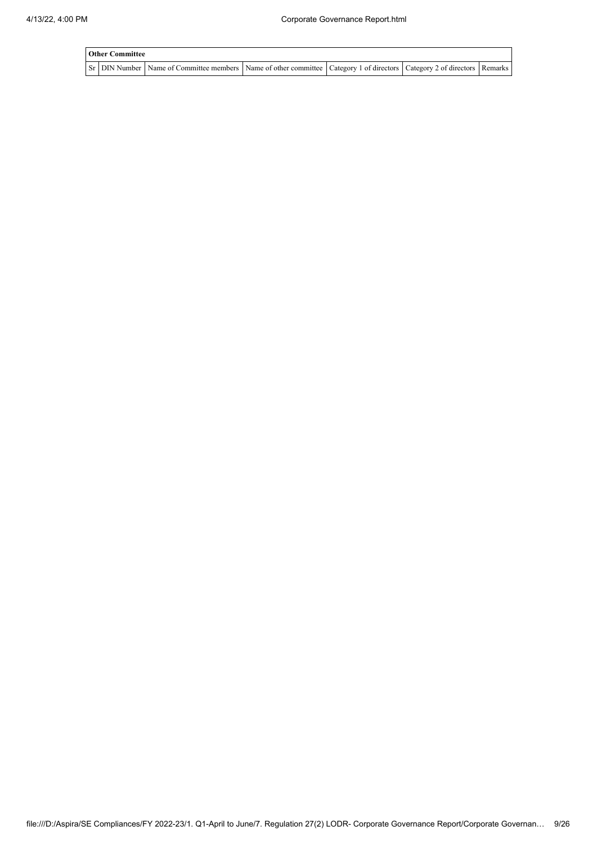| <b>Other Committee</b> |                                                                                                                                     |  |  |  |  |  |  |  |  |
|------------------------|-------------------------------------------------------------------------------------------------------------------------------------|--|--|--|--|--|--|--|--|
|                        | Sr   DIN Number   Name of Committee members   Name of other committee   Category 1 of directors   Category 2 of directors   Remarks |  |  |  |  |  |  |  |  |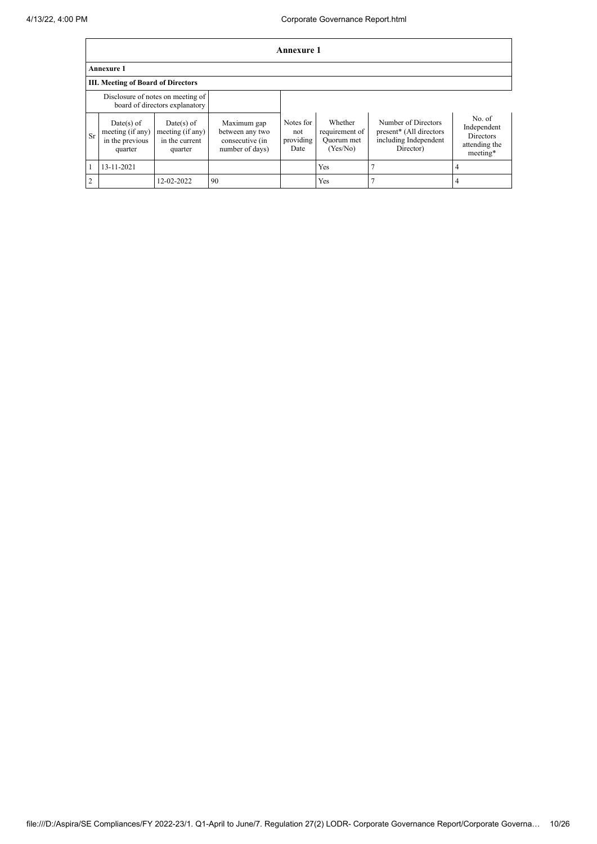|               | Annexure 1                                                   |                                                                     |                                                                      |                                       |                                                     |                                                                                      |                                                                        |  |  |
|---------------|--------------------------------------------------------------|---------------------------------------------------------------------|----------------------------------------------------------------------|---------------------------------------|-----------------------------------------------------|--------------------------------------------------------------------------------------|------------------------------------------------------------------------|--|--|
|               | <b>Annexure 1</b>                                            |                                                                     |                                                                      |                                       |                                                     |                                                                                      |                                                                        |  |  |
|               | <b>III.</b> Meeting of Board of Directors                    |                                                                     |                                                                      |                                       |                                                     |                                                                                      |                                                                        |  |  |
|               |                                                              | Disclosure of notes on meeting of<br>board of directors explanatory |                                                                      |                                       |                                                     |                                                                                      |                                                                        |  |  |
| Sr            | Date(s) of<br>meeting (if any)<br>in the previous<br>quarter | $Date(s)$ of<br>meeting (if any)<br>in the current<br>quarter       | Maximum gap<br>between any two<br>consecutive (in<br>number of days) | Notes for<br>not<br>providing<br>Date | Whether<br>requirement of<br>Quorum met<br>(Yes/No) | Number of Directors<br>present* (All directors<br>including Independent<br>Director) | No. of<br>Independent<br><b>Directors</b><br>attending the<br>meeting* |  |  |
|               | 13-11-2021                                                   |                                                                     |                                                                      |                                       | Yes                                                 |                                                                                      |                                                                        |  |  |
| $\mathcal{D}$ |                                                              | 12-02-2022                                                          | 90                                                                   |                                       | Yes                                                 |                                                                                      |                                                                        |  |  |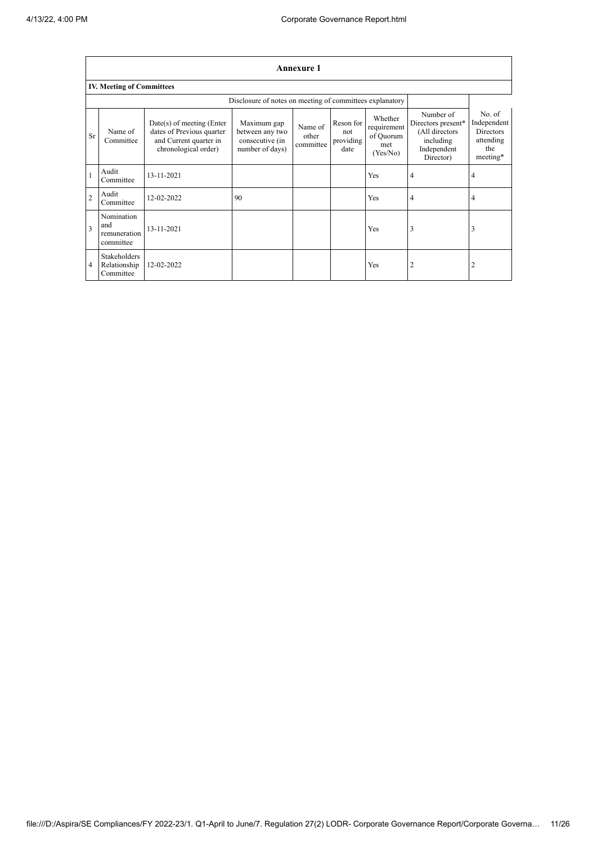|                | <b>Annexure 1</b>                                        |                                                                                                            |                                                                      |                               |                                       |                                                        |                                                                                            |                                                                           |  |
|----------------|----------------------------------------------------------|------------------------------------------------------------------------------------------------------------|----------------------------------------------------------------------|-------------------------------|---------------------------------------|--------------------------------------------------------|--------------------------------------------------------------------------------------------|---------------------------------------------------------------------------|--|
|                | <b>IV. Meeting of Committees</b>                         |                                                                                                            |                                                                      |                               |                                       |                                                        |                                                                                            |                                                                           |  |
|                | Disclosure of notes on meeting of committees explanatory |                                                                                                            |                                                                      |                               |                                       |                                                        |                                                                                            |                                                                           |  |
| Sr             | Name of<br>Committee                                     | $Date(s)$ of meeting (Enter<br>dates of Previous quarter<br>and Current quarter in<br>chronological order) | Maximum gap<br>between any two<br>consecutive (in<br>number of days) | Name of<br>other<br>committee | Reson for<br>not<br>providing<br>date | Whether<br>requirement<br>of Quorum<br>met<br>(Yes/No) | Number of<br>Directors present*<br>(All directors<br>including<br>Independent<br>Director) | No. of<br>Independent<br><b>Directors</b><br>attending<br>the<br>meeting* |  |
|                | Audit<br>Committee                                       | 13-11-2021                                                                                                 |                                                                      |                               |                                       | Yes                                                    | 4                                                                                          | $\overline{4}$                                                            |  |
| $\overline{2}$ | Audit<br>Committee                                       | 12-02-2022                                                                                                 | 90                                                                   |                               |                                       | Yes                                                    | 4                                                                                          | $\overline{4}$                                                            |  |
| 3              | Nomination<br>and<br>remuneration<br>committee           | $13 - 11 - 2021$                                                                                           |                                                                      |                               |                                       | Yes                                                    | 3                                                                                          | 3                                                                         |  |
| 4              | Stakeholders<br>Relationship<br>Committee                | 12-02-2022                                                                                                 |                                                                      |                               |                                       | Yes                                                    | $\overline{2}$                                                                             | $\overline{2}$                                                            |  |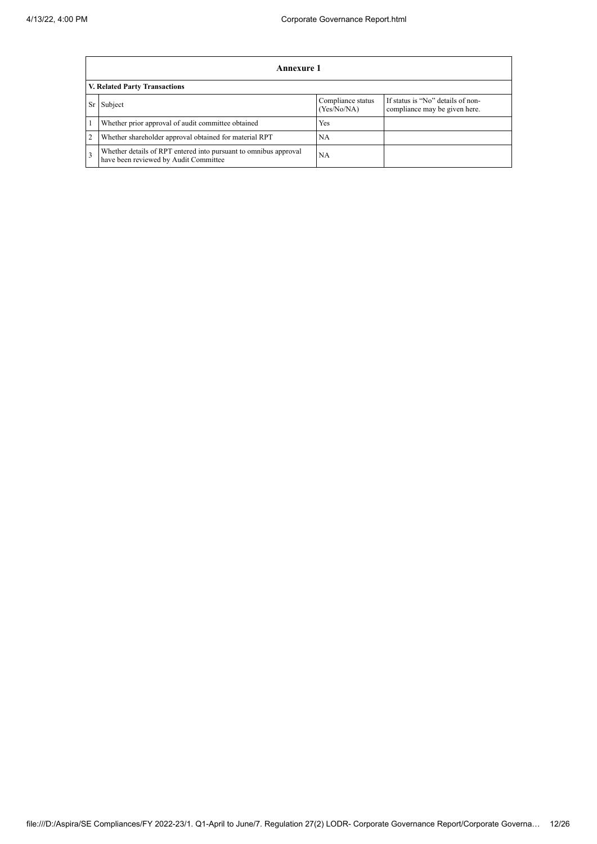|                         | Annexure 1                                                                                                |                                  |                                                                    |  |  |  |  |  |
|-------------------------|-----------------------------------------------------------------------------------------------------------|----------------------------------|--------------------------------------------------------------------|--|--|--|--|--|
|                         | V. Related Party Transactions                                                                             |                                  |                                                                    |  |  |  |  |  |
| Sr                      | Subject                                                                                                   | Compliance status<br>(Yes/No/NA) | If status is "No" details of non-<br>compliance may be given here. |  |  |  |  |  |
|                         | Whether prior approval of audit committee obtained                                                        | Yes                              |                                                                    |  |  |  |  |  |
| $\overline{2}$          | Whether shareholder approval obtained for material RPT                                                    | NA                               |                                                                    |  |  |  |  |  |
| $\overline{\mathbf{3}}$ | Whether details of RPT entered into pursuant to omnibus approval<br>have been reviewed by Audit Committee | <b>NA</b>                        |                                                                    |  |  |  |  |  |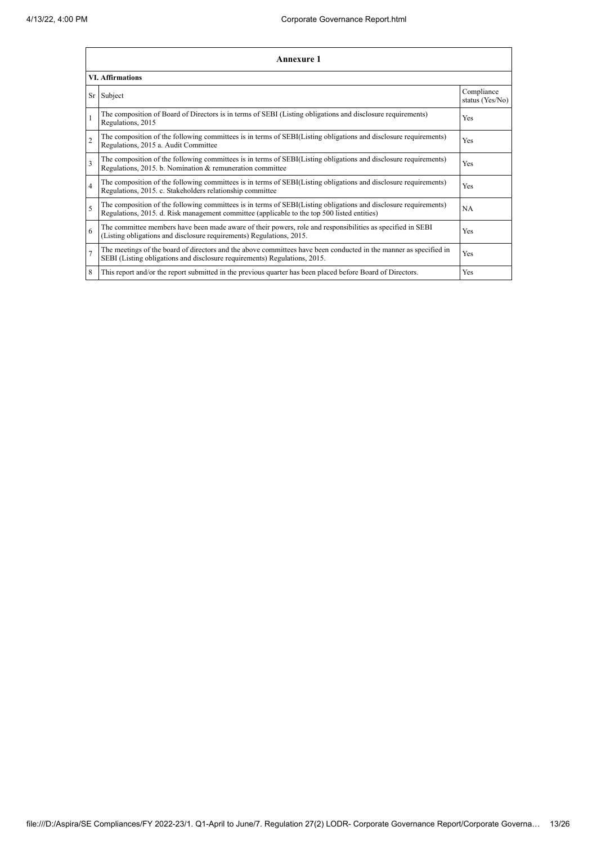|                | <b>Annexure 1</b>                                                                                                                                                                                               |                               |  |  |
|----------------|-----------------------------------------------------------------------------------------------------------------------------------------------------------------------------------------------------------------|-------------------------------|--|--|
|                | <b>VI. Affirmations</b>                                                                                                                                                                                         |                               |  |  |
|                | Sr Subject                                                                                                                                                                                                      | Compliance<br>status (Yes/No) |  |  |
| $\mathbf{1}$   | The composition of Board of Directors is in terms of SEBI (Listing obligations and disclosure requirements)<br>Regulations, 2015                                                                                | Yes                           |  |  |
| $\overline{2}$ | The composition of the following committees is in terms of SEBI(Listing obligations and disclosure requirements)<br>Regulations, 2015 a. Audit Committee                                                        | Yes                           |  |  |
| $\overline{3}$ | The composition of the following committees is in terms of SEBI(Listing obligations and disclosure requirements)<br>Regulations, 2015. b. Nomination & remuneration committee                                   | Yes                           |  |  |
| $\overline{4}$ | The composition of the following committees is in terms of SEBI(Listing obligations and disclosure requirements)<br>Regulations, 2015. c. Stakeholders relationship committee                                   | Yes                           |  |  |
| 5              | The composition of the following committees is in terms of SEBI(Listing obligations and disclosure requirements)<br>Regulations, 2015. d. Risk management committee (applicable to the top 500 listed entities) | NA                            |  |  |
| 6              | The committee members have been made aware of their powers, role and responsibilities as specified in SEBI<br>(Listing obligations and disclosure requirements) Regulations, 2015.                              | Yes                           |  |  |
| $\overline{7}$ | The meetings of the board of directors and the above committees have been conducted in the manner as specified in<br>SEBI (Listing obligations and disclosure requirements) Regulations, 2015.                  | Yes                           |  |  |
| 8              | This report and/or the report submitted in the previous quarter has been placed before Board of Directors.                                                                                                      | Yes                           |  |  |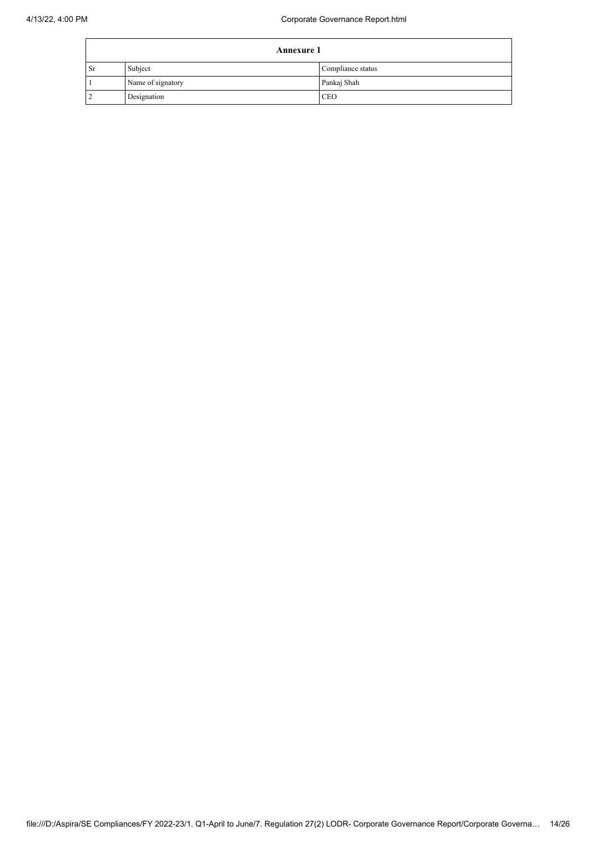|           | <b>Annexure 1</b> |                   |  |
|-----------|-------------------|-------------------|--|
| <b>Sr</b> | Subject           | Compliance status |  |
|           | Name of signatory | Pankaj Shah       |  |
|           | Designation       | <b>CEO</b>        |  |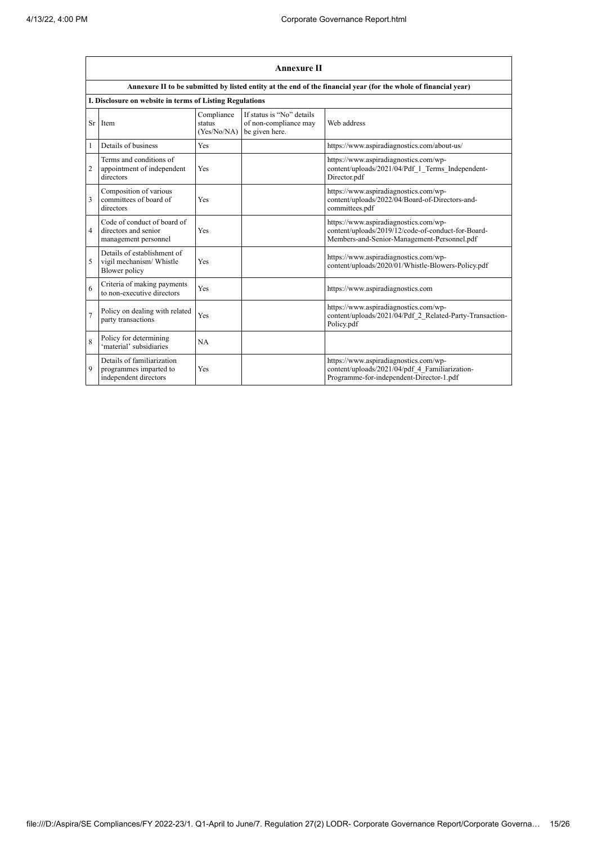$\mathbf{r}$ 

|                | <b>Annexure II</b>                                                                                              |                                     |                                                                      |                                                                                                                                            |  |  |
|----------------|-----------------------------------------------------------------------------------------------------------------|-------------------------------------|----------------------------------------------------------------------|--------------------------------------------------------------------------------------------------------------------------------------------|--|--|
|                | Annexure II to be submitted by listed entity at the end of the financial year (for the whole of financial year) |                                     |                                                                      |                                                                                                                                            |  |  |
|                | I. Disclosure on website in terms of Listing Regulations                                                        |                                     |                                                                      |                                                                                                                                            |  |  |
| Sr             | Item                                                                                                            | Compliance<br>status<br>(Yes/No/NA) | If status is "No" details<br>of non-compliance may<br>be given here. | Web address                                                                                                                                |  |  |
| 1              | Details of business                                                                                             | Yes                                 |                                                                      | https://www.aspiradiagnostics.com/about-us/                                                                                                |  |  |
| 2              | Terms and conditions of<br>appointment of independent<br>directors                                              | Yes                                 |                                                                      | https://www.aspiradiagnostics.com/wp-<br>content/uploads/2021/04/Pdf 1 Terms Independent-<br>Director.pdf                                  |  |  |
| 3              | Composition of various<br>committees of board of<br>directors                                                   | Yes                                 |                                                                      | https://www.aspiradiagnostics.com/wp-<br>content/uploads/2022/04/Board-of-Directors-and-<br>committees.pdf                                 |  |  |
| $\overline{4}$ | Code of conduct of board of<br>directors and senior<br>management personnel                                     | Yes                                 |                                                                      | https://www.aspiradiagnostics.com/wp-<br>content/uploads/2019/12/code-of-conduct-for-Board-<br>Members-and-Senior-Management-Personnel.pdf |  |  |
| 5              | Details of establishment of<br>vigil mechanism/ Whistle<br>Blower policy                                        | Yes                                 |                                                                      | https://www.aspiradiagnostics.com/wp-<br>content/uploads/2020/01/Whistle-Blowers-Policy.pdf                                                |  |  |
| 6              | Criteria of making payments<br>to non-executive directors                                                       | Yes                                 |                                                                      | https://www.aspiradiagnostics.com                                                                                                          |  |  |
| $\overline{7}$ | Policy on dealing with related<br>party transactions                                                            | Yes                                 |                                                                      | https://www.aspiradiagnostics.com/wp-<br>content/uploads/2021/04/Pdf 2 Related-Party-Transaction-<br>Policy.pdf                            |  |  |
| 8              | Policy for determining<br>'material' subsidiaries                                                               | NA                                  |                                                                      |                                                                                                                                            |  |  |
| 9              | Details of familiarization<br>programmes imparted to<br>independent directors                                   | Yes                                 |                                                                      | https://www.aspiradiagnostics.com/wp-<br>content/uploads/2021/04/pdf 4 Familiarization-<br>Programme-for-independent-Director-1.pdf        |  |  |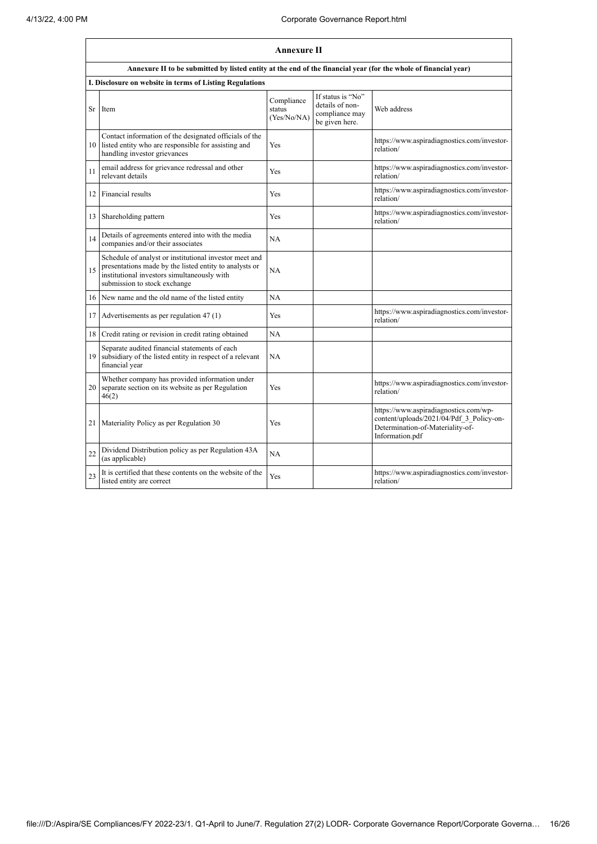|    | <b>Annexure II</b>                                                                                                                                                                              |                                     |                                                                          |                                                                                                                                          |
|----|-------------------------------------------------------------------------------------------------------------------------------------------------------------------------------------------------|-------------------------------------|--------------------------------------------------------------------------|------------------------------------------------------------------------------------------------------------------------------------------|
|    | Annexure II to be submitted by listed entity at the end of the financial year (for the whole of financial year)                                                                                 |                                     |                                                                          |                                                                                                                                          |
|    | I. Disclosure on website in terms of Listing Regulations                                                                                                                                        |                                     |                                                                          |                                                                                                                                          |
| Sr | Item                                                                                                                                                                                            | Compliance<br>status<br>(Yes/No/NA) | If status is "No"<br>details of non-<br>compliance may<br>be given here. | Web address                                                                                                                              |
|    | Contact information of the designated officials of the<br>10 listed entity who are responsible for assisting and<br>handling investor grievances                                                | Yes                                 |                                                                          | https://www.aspiradiagnostics.com/investor-<br>relation/                                                                                 |
| 11 | email address for grievance redressal and other<br>relevant details                                                                                                                             | Yes                                 |                                                                          | https://www.aspiradiagnostics.com/investor-<br>relation/                                                                                 |
| 12 | Financial results                                                                                                                                                                               | Yes                                 |                                                                          | https://www.aspiradiagnostics.com/investor-<br>relation/                                                                                 |
| 13 | Shareholding pattern                                                                                                                                                                            | Yes                                 |                                                                          | https://www.aspiradiagnostics.com/investor-<br>relation/                                                                                 |
| 14 | Details of agreements entered into with the media<br>companies and/or their associates                                                                                                          | <b>NA</b>                           |                                                                          |                                                                                                                                          |
| 15 | Schedule of analyst or institutional investor meet and<br>presentations made by the listed entity to analysts or<br>institutional investors simultaneously with<br>submission to stock exchange | NA                                  |                                                                          |                                                                                                                                          |
| 16 | New name and the old name of the listed entity                                                                                                                                                  | NA                                  |                                                                          |                                                                                                                                          |
| 17 | Advertisements as per regulation 47 (1)                                                                                                                                                         | Yes                                 |                                                                          | https://www.aspiradiagnostics.com/investor-<br>relation/                                                                                 |
| 18 | Credit rating or revision in credit rating obtained                                                                                                                                             | <b>NA</b>                           |                                                                          |                                                                                                                                          |
| 19 | Separate audited financial statements of each<br>subsidiary of the listed entity in respect of a relevant<br>financial year                                                                     | <b>NA</b>                           |                                                                          |                                                                                                                                          |
|    | Whether company has provided information under<br>20 separate section on its website as per Regulation<br>46(2)                                                                                 | Yes                                 |                                                                          | https://www.aspiradiagnostics.com/investor-<br>relation/                                                                                 |
| 21 | Materiality Policy as per Regulation 30                                                                                                                                                         | Yes                                 |                                                                          | https://www.aspiradiagnostics.com/wp-<br>content/uploads/2021/04/Pdf 3 Policy-on-<br>Determination-of-Materiality-of-<br>Information.pdf |
| 22 | Dividend Distribution policy as per Regulation 43A<br>(as applicable)                                                                                                                           | NA                                  |                                                                          |                                                                                                                                          |
| 23 | It is certified that these contents on the website of the<br>listed entity are correct                                                                                                          | Yes                                 |                                                                          | https://www.aspiradiagnostics.com/investor-<br>relation/                                                                                 |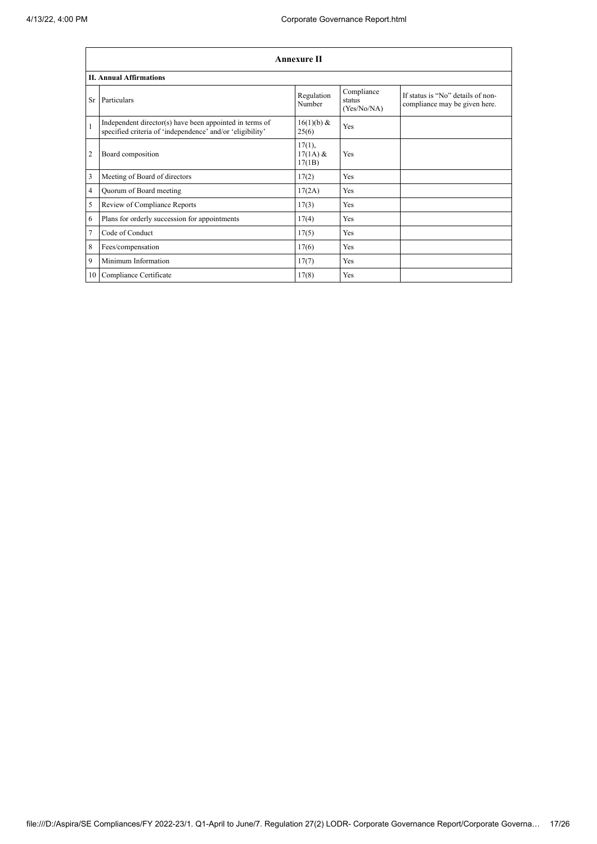|              | <b>Annexure II</b>                                                                                                   |                                   |                                     |                                                                    |  |
|--------------|----------------------------------------------------------------------------------------------------------------------|-----------------------------------|-------------------------------------|--------------------------------------------------------------------|--|
|              | <b>II. Annual Affirmations</b>                                                                                       |                                   |                                     |                                                                    |  |
| Sr           | Particulars                                                                                                          | Regulation<br>Number              | Compliance<br>status<br>(Yes/No/NA) | If status is "No" details of non-<br>compliance may be given here. |  |
| $\mathbf{1}$ | Independent director(s) have been appointed in terms of<br>specified criteria of 'independence' and/or 'eligibility' | 16(1)(b) &<br>25(6)               | Yes                                 |                                                                    |  |
| 2            | Board composition                                                                                                    | $17(1)$ ,<br>$17(1A)$ &<br>17(1B) | Yes                                 |                                                                    |  |
| 3            | Meeting of Board of directors                                                                                        | 17(2)                             | Yes                                 |                                                                    |  |
| 4            | Quorum of Board meeting                                                                                              | 17(2A)                            | Yes                                 |                                                                    |  |
| 5            | Review of Compliance Reports                                                                                         | 17(3)                             | Yes                                 |                                                                    |  |
| 6            | Plans for orderly succession for appointments                                                                        | 17(4)                             | Yes                                 |                                                                    |  |
| 7            | Code of Conduct                                                                                                      | 17(5)                             | Yes                                 |                                                                    |  |
| 8            | Fees/compensation                                                                                                    | 17(6)                             | Yes                                 |                                                                    |  |
| 9            | Minimum Information                                                                                                  | 17(7)                             | Yes                                 |                                                                    |  |
|              | 10 Compliance Certificate                                                                                            | 17(8)                             | Yes                                 |                                                                    |  |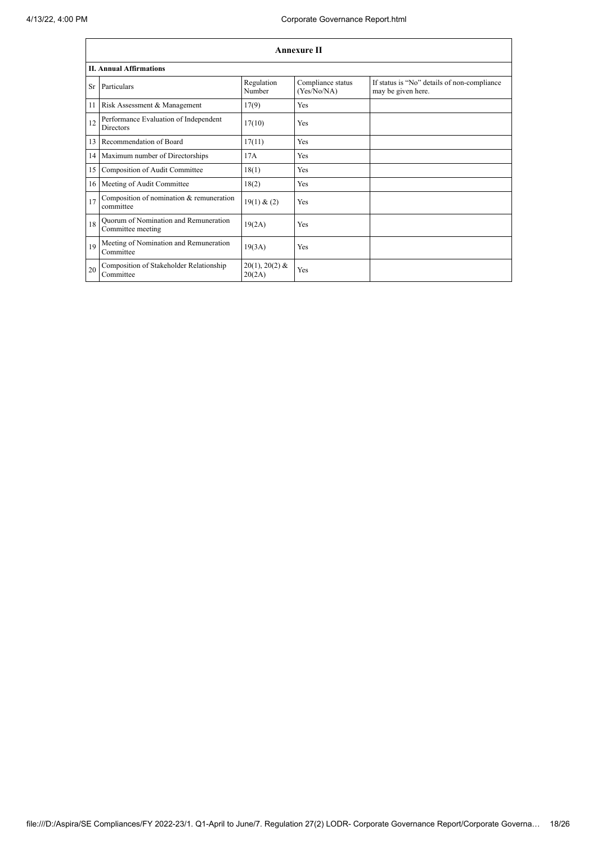|    | <b>Annexure II</b>                                         |                            |                                  |                                                                   |  |
|----|------------------------------------------------------------|----------------------------|----------------------------------|-------------------------------------------------------------------|--|
|    | <b>II. Annual Affirmations</b>                             |                            |                                  |                                                                   |  |
| Sr | Particulars                                                | Regulation<br>Number       | Compliance status<br>(Yes/No/NA) | If status is "No" details of non-compliance<br>may be given here. |  |
| 11 | Risk Assessment & Management                               | 17(9)                      | Yes                              |                                                                   |  |
| 12 | Performance Evaluation of Independent<br><b>Directors</b>  | 17(10)                     | Yes                              |                                                                   |  |
| 13 | Recommendation of Board                                    | 17(11)                     | Yes                              |                                                                   |  |
|    | 14 Maximum number of Directorships                         | 17A                        | Yes                              |                                                                   |  |
| 15 | Composition of Audit Committee                             | 18(1)                      | Yes                              |                                                                   |  |
|    | 16 Meeting of Audit Committee                              | 18(2)                      | Yes                              |                                                                   |  |
| 17 | Composition of nomination & remuneration<br>committee      | 19(1) & (2)                | Yes                              |                                                                   |  |
| 18 | Quorum of Nomination and Remuneration<br>Committee meeting | 19(2A)                     | Yes                              |                                                                   |  |
| 19 | Meeting of Nomination and Remuneration<br>Committee        | 19(3A)                     | Yes                              |                                                                   |  |
| 20 | Composition of Stakeholder Relationship<br>Committee       | $20(1), 20(2)$ &<br>20(2A) | Yes                              |                                                                   |  |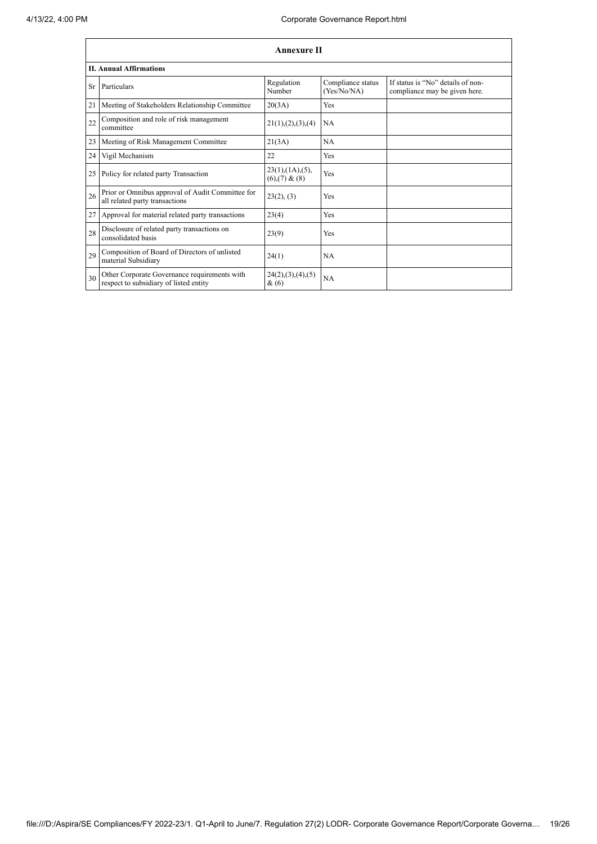|    | <b>Annexure II</b>                                                                     |                                                     |                                  |                                                                    |  |
|----|----------------------------------------------------------------------------------------|-----------------------------------------------------|----------------------------------|--------------------------------------------------------------------|--|
|    | <b>II. Annual Affirmations</b>                                                         |                                                     |                                  |                                                                    |  |
| Sr | Particulars                                                                            | Regulation<br>Number                                | Compliance status<br>(Yes/No/NA) | If status is "No" details of non-<br>compliance may be given here. |  |
| 21 | Meeting of Stakeholders Relationship Committee                                         | 20(3A)                                              | Yes                              |                                                                    |  |
| 22 | Composition and role of risk management<br>committee                                   | 21(1), (2), (3), (4)                                | NA                               |                                                                    |  |
| 23 | Meeting of Risk Management Committee                                                   | 21(3A)                                              | <b>NA</b>                        |                                                                    |  |
| 24 | Vigil Mechanism                                                                        | 22                                                  | Yes                              |                                                                    |  |
| 25 | Policy for related party Transaction                                                   | $23(1)$ , $(1A)$ , $(5)$ ,<br>$(6)$ , $(7)$ & $(8)$ | Yes                              |                                                                    |  |
| 26 | Prior or Omnibus approval of Audit Committee for<br>all related party transactions     | 23(2), (3)                                          | Yes                              |                                                                    |  |
| 27 | Approval for material related party transactions                                       | 23(4)                                               | Yes                              |                                                                    |  |
| 28 | Disclosure of related party transactions on<br>consolidated basis                      | 23(9)                                               | Yes                              |                                                                    |  |
| 29 | Composition of Board of Directors of unlisted<br>material Subsidiary                   | 24(1)                                               | <b>NA</b>                        |                                                                    |  |
| 30 | Other Corporate Governance requirements with<br>respect to subsidiary of listed entity | 24(2), (3), (4), (5)<br>&(6)                        | <b>NA</b>                        |                                                                    |  |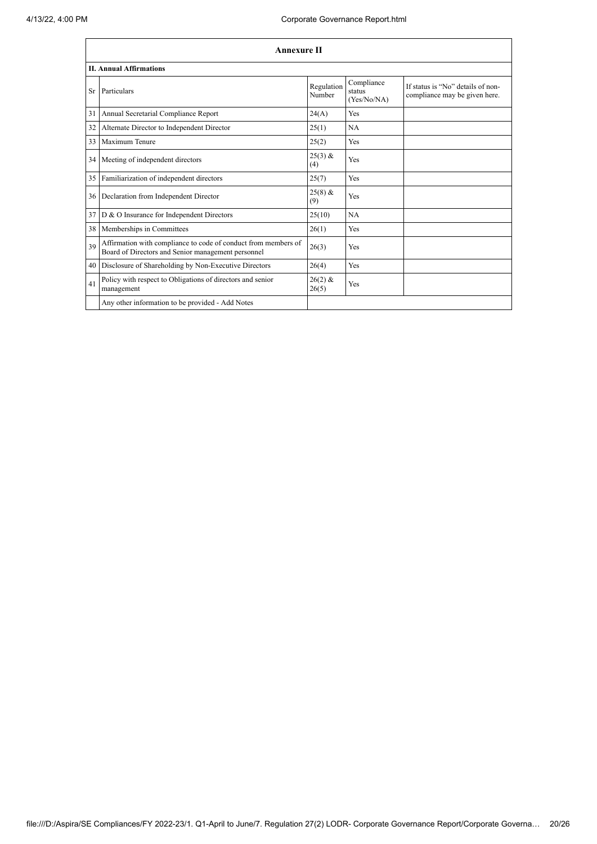|     | <b>Annexure II</b>                                                                                                   |                      |                                     |                                                                    |
|-----|----------------------------------------------------------------------------------------------------------------------|----------------------|-------------------------------------|--------------------------------------------------------------------|
|     | <b>II. Annual Affirmations</b>                                                                                       |                      |                                     |                                                                    |
| Sr. | Particulars                                                                                                          | Regulation<br>Number | Compliance<br>status<br>(Yes/No/NA) | If status is "No" details of non-<br>compliance may be given here. |
| 31  | Annual Secretarial Compliance Report                                                                                 | 24(A)                | Yes                                 |                                                                    |
| 32  | Alternate Director to Independent Director                                                                           | 25(1)                | <b>NA</b>                           |                                                                    |
| 33  | Maximum Tenure                                                                                                       | 25(2)                | Yes                                 |                                                                    |
|     | 34 Meeting of independent directors                                                                                  | $25(3)$ &<br>(4)     | Yes                                 |                                                                    |
| 35  | Familiarization of independent directors                                                                             | 25(7)                | <b>Yes</b>                          |                                                                    |
| 36  | Declaration from Independent Director                                                                                | $25(8)$ &<br>(9)     | Yes                                 |                                                                    |
| 37  | D & O Insurance for Independent Directors                                                                            | 25(10)               | NA                                  |                                                                    |
| 38  | Memberships in Committees                                                                                            | 26(1)                | Yes                                 |                                                                    |
| 39  | Affirmation with compliance to code of conduct from members of<br>Board of Directors and Senior management personnel | 26(3)                | Yes                                 |                                                                    |
| 40  | Disclosure of Shareholding by Non-Executive Directors                                                                | 26(4)                | Yes                                 |                                                                    |
| 41  | Policy with respect to Obligations of directors and senior<br>management                                             | $26(2)$ &<br>26(5)   | Yes                                 |                                                                    |
|     | Any other information to be provided - Add Notes                                                                     |                      |                                     |                                                                    |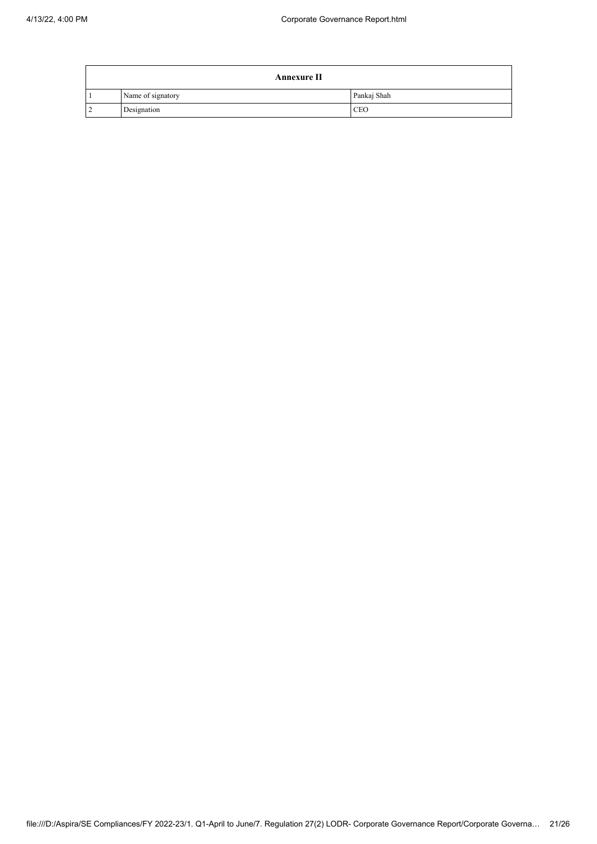|                | <b>Annexure II</b> |             |  |
|----------------|--------------------|-------------|--|
|                | Name of signatory  | Pankaj Shah |  |
| $\overline{2}$ | Designation        | <b>CEO</b>  |  |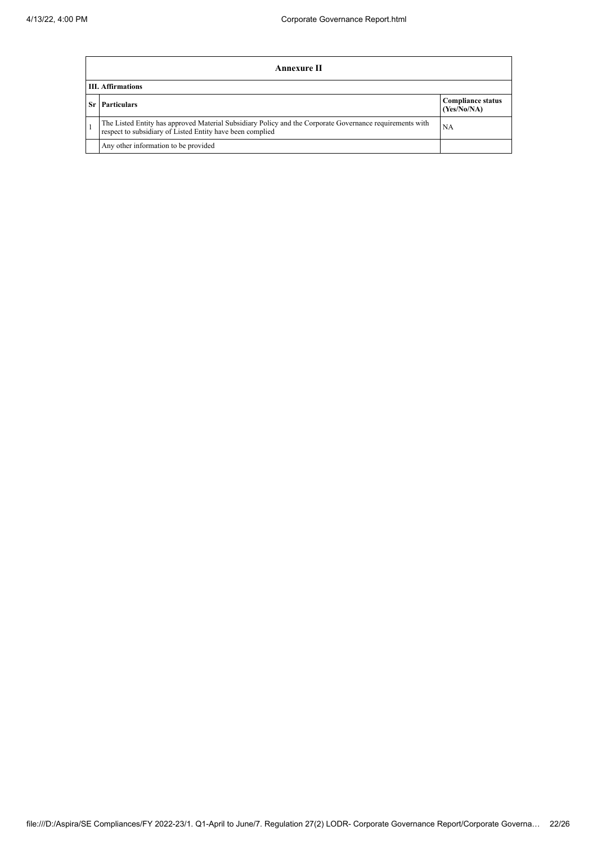|    | Annexure II                                                                                                                                                                 |                                         |  |  |  |
|----|-----------------------------------------------------------------------------------------------------------------------------------------------------------------------------|-----------------------------------------|--|--|--|
|    | <b>III.</b> Affirmations                                                                                                                                                    |                                         |  |  |  |
| Sr | <b>Particulars</b>                                                                                                                                                          | <b>Compliance status</b><br>(Yes/No/NA) |  |  |  |
|    | The Listed Entity has approved Material Subsidiary Policy and the Corporate Governance requirements with<br>NA<br>respect to subsidiary of Listed Entity have been complied |                                         |  |  |  |
|    | Any other information to be provided                                                                                                                                        |                                         |  |  |  |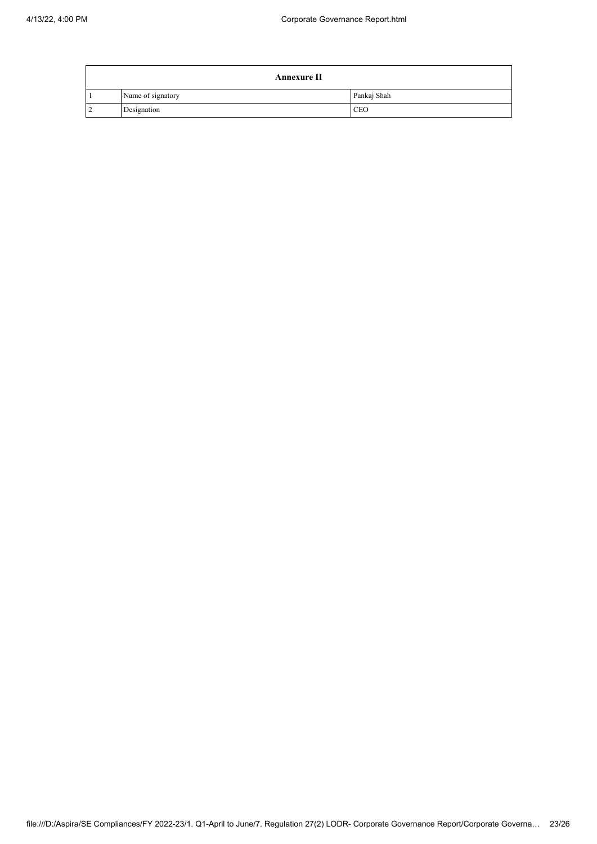|                | <b>Annexure II</b> |             |  |
|----------------|--------------------|-------------|--|
|                | Name of signatory  | Pankaj Shah |  |
| $\overline{2}$ | Designation        | <b>CEO</b>  |  |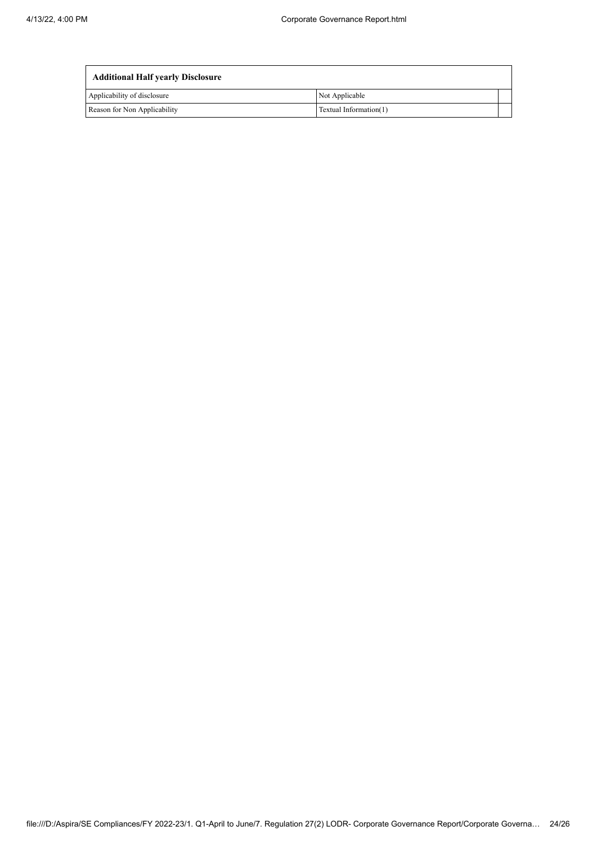| <b>Additional Half yearly Disclosure</b> |                        |
|------------------------------------------|------------------------|
| Applicability of disclosure              | Not Applicable         |
| Reason for Non Applicability             | Textual Information(1) |